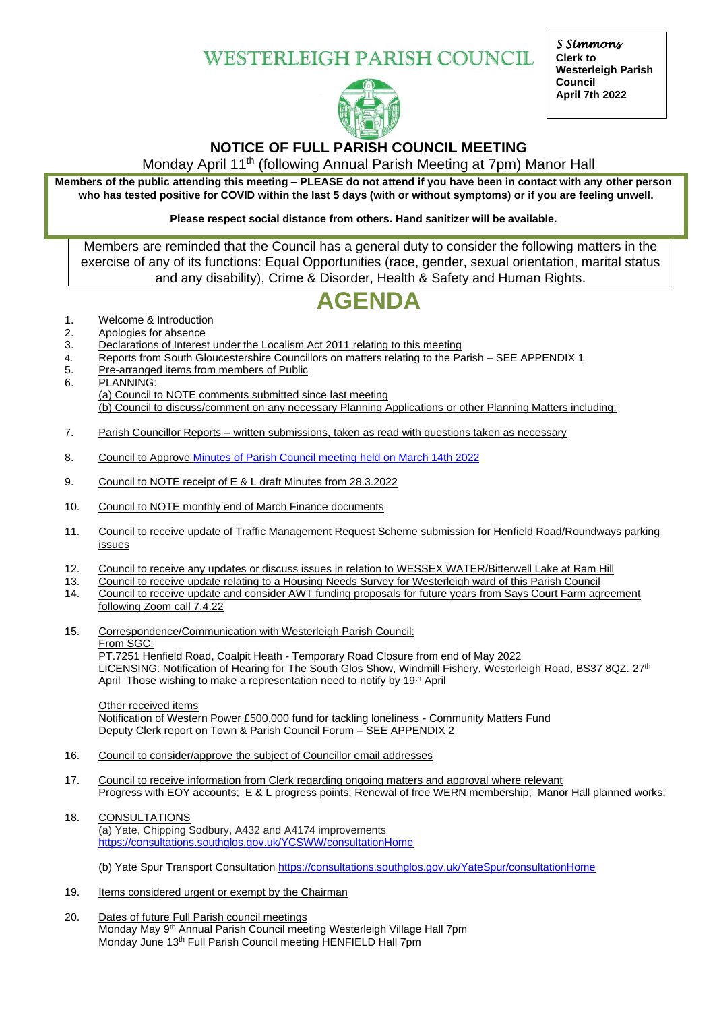**WESTERLEIGH PARISH COUNCIL** 



*S Simmons*  **Clerk to Westerleigh Parish Council April 7th 2022**

## **NOTICE OF FULL PARISH COUNCIL MEETING**

Monday April 11th (following Annual Parish Meeting at 7pm) Manor Hall

**Members of the public attending this meeting – PLEASE do not attend if you have been in contact with any other person who has tested positive for COVID within the last 5 days (with or without symptoms) or if you are feeling unwell.**

**Please respect social distance from others. Hand sanitizer will be available.**

Members are reminded that the Council has a general duty to consider the following matters in the exercise of any of its functions: Equal Opportunities (race, gender, sexual orientation, marital status and any disability), Crime & Disorder, Health & Safety and Human Rights.

# **AGENDA**

- 1. Welcome & Introduction
- 2. Apologies for absence
- 3. Declarations of Interest under the Localism Act 2011 relating to this meeting
- 4. Reports from South Gloucestershire Councillors on matters relating to the Parish SEE APPENDIX 1
- 5. Pre-arranged items from members of Public
- 6. PLANNING: (a) Council to NOTE comments submitted since last meeting (b) Council to discuss/comment on any necessary Planning Applications or other Planning Matters including:
- 7. Parish Councillor Reports written submissions, taken as read with questions taken as necessary
- 8. Council to Approve Minutes of Parish [Council meeting held on March 14th](https://www.westerleighparishcouncil.org.uk/wp-content/uploads/2020/05/Draft-Minutes-Full-WPC-meeting-14.3.2022.pdf) 2022
- 9. Council to NOTE receipt of E & L draft Minutes from 28.3.2022
- 10. Council to NOTE monthly end of March Finance documents
- 11. Council to receive update of Traffic Management Request Scheme submission for Henfield Road/Roundways parking issues
- 12. Council to receive any updates or discuss issues in relation to WESSEX WATER/Bitterwell Lake at Ram Hill
- 13. Council to receive update relating to a Housing Needs Survey for Westerleigh ward of this Parish Council
- 14. Council to receive update and consider AWT funding proposals for future years from Says Court Farm agreement following Zoom call 7.4.22

15. Correspondence/Communication with Westerleigh Parish Council: From SGC: PT.7251 Henfield Road, Coalpit Heath - Temporary Road Closure from end of May 2022

LICENSING: Notification of Hearing for The South Glos Show, Windmill Fishery, Westerleigh Road, BS37 8QZ. 27<sup>th</sup> April Those wishing to make a representation need to notify by 19<sup>th</sup> April

Other received items

Notification of Western Power £500,000 fund for tackling loneliness - Community Matters Fund Deputy Clerk report on Town & Parish Council Forum – SEE APPENDIX 2

- 16. Council to consider/approve the subject of Councillor email addresses
- 17. Council to receive information from Clerk regarding ongoing matters and approval where relevant Progress with EOY accounts; E & L progress points; Renewal of free WERN membership; Manor Hall planned works;
- 18. CONSULTATIONS (a) Yate, Chipping Sodbury, A432 and A4174 improvements <https://consultations.southglos.gov.uk/YCSWW/consultationHome>

(b) Yate Spur Transport Consultation <https://consultations.southglos.gov.uk/YateSpur/consultationHome>

- 19. Items considered urgent or exempt by the Chairman
- 20. Dates of future Full Parish council meetings Monday May 9<sup>th</sup> Annual Parish Council meeting Westerleigh Village Hall 7pm Monday June 13th Full Parish Council meeting HENFIELD Hall 7pm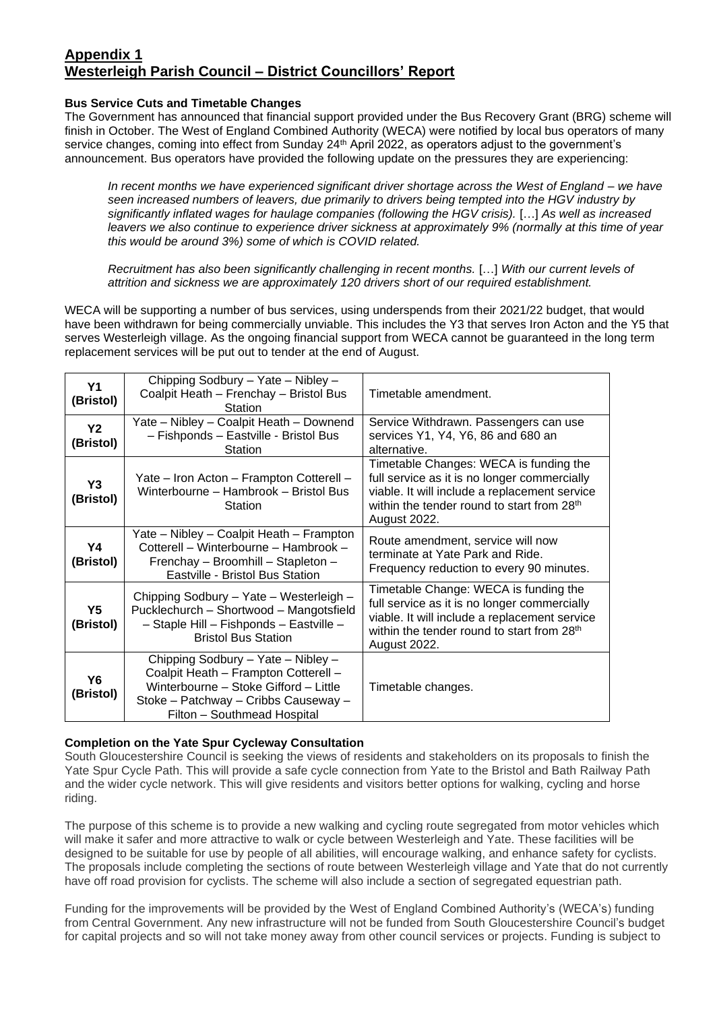### **Appendix 1 Westerleigh Parish Council – District Councillors' Report**

#### **Bus Service Cuts and Timetable Changes**

The Government has announced that financial support provided under the Bus Recovery Grant (BRG) scheme will finish in October. The West of England Combined Authority (WECA) were notified by local bus operators of many service changes, coming into effect from Sunday 24<sup>th</sup> April 2022, as operators adjust to the government's announcement. Bus operators have provided the following update on the pressures they are experiencing:

*In recent months we have experienced significant driver shortage across the West of England – we have seen increased numbers of leavers, due primarily to drivers being tempted into the HGV industry by significantly inflated wages for haulage companies (following the HGV crisis).* […] *As well as increased leavers we also continue to experience driver sickness at approximately 9% (normally at this time of year this would be around 3%) some of which is COVID related.* 

*Recruitment has also been significantly challenging in recent months.* […] *With our current levels of attrition and sickness we are approximately 120 drivers short of our required establishment.* 

WECA will be supporting a number of bus services, using underspends from their 2021/22 budget, that would have been withdrawn for being commercially unviable. This includes the Y3 that serves Iron Acton and the Y5 that serves Westerleigh village. As the ongoing financial support from WECA cannot be guaranteed in the long term replacement services will be put out to tender at the end of August.

| <b>Y1</b><br>(Bristol) | Chipping Sodbury - Yate - Nibley -<br>Coalpit Heath - Frenchay - Bristol Bus<br>Station                                                                                                    | Timetable amendment.                                                                                                                                                                                              |
|------------------------|--------------------------------------------------------------------------------------------------------------------------------------------------------------------------------------------|-------------------------------------------------------------------------------------------------------------------------------------------------------------------------------------------------------------------|
| <b>Y2</b><br>(Bristol) | Yate - Nibley - Coalpit Heath - Downend<br>- Fishponds - Eastville - Bristol Bus<br>Station                                                                                                | Service Withdrawn. Passengers can use<br>services Y1, Y4, Y6, 86 and 680 an<br>alternative.                                                                                                                       |
| Y3<br>(Bristol)        | Yate – Iron Acton – Frampton Cotterell –<br>Winterbourne - Hambrook - Bristol Bus<br>Station                                                                                               | Timetable Changes: WECA is funding the<br>full service as it is no longer commercially<br>viable. It will include a replacement service<br>within the tender round to start from 28 <sup>th</sup><br>August 2022. |
| Υ4<br>(Bristol)        | Yate – Nibley – Coalpit Heath – Frampton<br>Cotterell - Winterbourne - Hambrook -<br>Frenchay - Broomhill - Stapleton -<br>Eastville - Bristol Bus Station                                 | Route amendment, service will now<br>terminate at Yate Park and Ride.<br>Frequency reduction to every 90 minutes.                                                                                                 |
| Y5<br>(Bristol)        | Chipping Sodbury - Yate - Westerleigh -<br>Pucklechurch - Shortwood - Mangotsfield<br>- Staple Hill - Fishponds - Eastville -<br><b>Bristol Bus Station</b>                                | Timetable Change: WECA is funding the<br>full service as it is no longer commercially<br>viable. It will include a replacement service<br>within the tender round to start from 28 <sup>th</sup><br>August 2022.  |
| Y6<br>(Bristol)        | Chipping Sodbury - Yate - Nibley -<br>Coalpit Heath - Frampton Cotterell -<br>Winterbourne - Stoke Gifford - Little<br>Stoke - Patchway - Cribbs Causeway -<br>Filton - Southmead Hospital | Timetable changes.                                                                                                                                                                                                |

#### **Completion on the Yate Spur Cycleway Consultation**

South Gloucestershire Council is seeking the views of residents and stakeholders on its proposals to finish the Yate Spur Cycle Path. This will provide a safe cycle connection from Yate to the Bristol and Bath Railway Path and the wider cycle network. This will give residents and visitors better options for walking, cycling and horse riding.

The purpose of this scheme is to provide a new walking and cycling route segregated from motor vehicles which will make it safer and more attractive to walk or cycle between Westerleigh and Yate. These facilities will be designed to be suitable for use by people of all abilities, will encourage walking, and enhance safety for cyclists. The proposals include completing the sections of route between Westerleigh village and Yate that do not currently have off road provision for cyclists. The scheme will also include a section of segregated equestrian path.

Funding for the improvements will be provided by the West of England Combined Authority's (WECA's) funding from Central Government. Any new infrastructure will not be funded from South Gloucestershire Council's budget for capital projects and so will not take money away from other council services or projects. Funding is subject to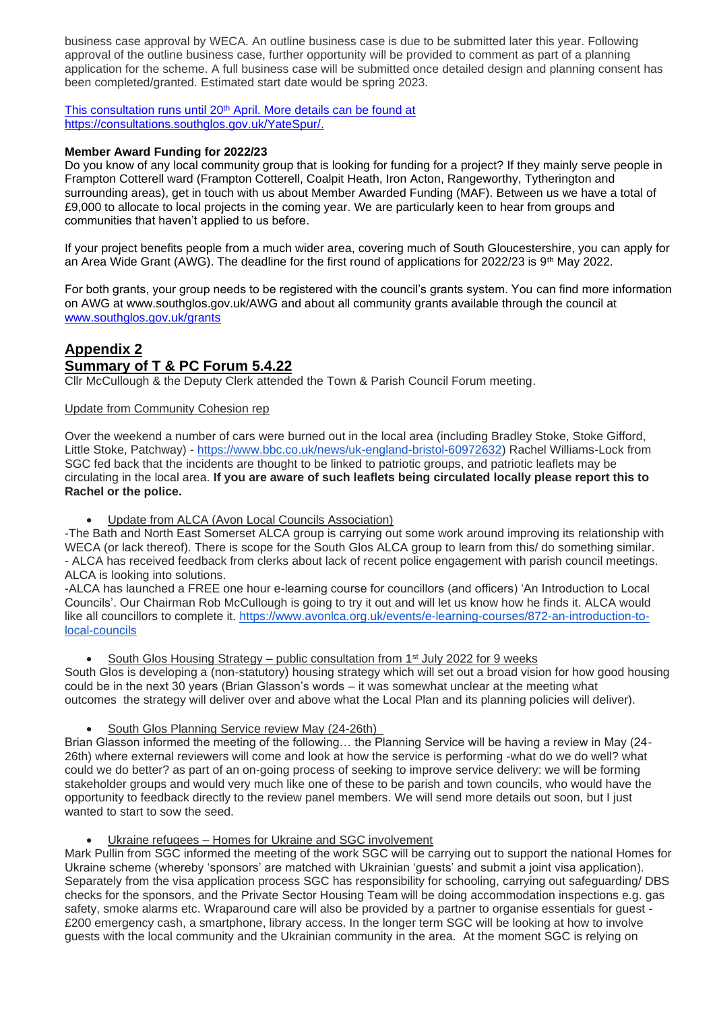business case approval by WECA. An outline business case is due to be submitted later this year. Following approval of the outline business case, further opportunity will be provided to comment as part of a planning application for the scheme. A full business case will be submitted once detailed design and planning consent has been completed/granted. Estimated start date would be spring 2023.

This consultation runs until 20<sup>th</sup> April. More details can be found at [https://consultations.southglos.gov.uk/YateSpur/.](about:blank)

#### **Member Award Funding for 2022/23**

Do you know of any local community group that is looking for funding for a project? If they mainly serve people in Frampton Cotterell ward (Frampton Cotterell, Coalpit Heath, Iron Acton, Rangeworthy, Tytherington and surrounding areas), get in touch with us about Member Awarded Funding (MAF). Between us we have a total of £9,000 to allocate to local projects in the coming year. We are particularly keen to hear from groups and communities that haven't applied to us before.

If your project benefits people from a much wider area, covering much of South Gloucestershire, you can apply for an Area Wide Grant (AWG). The deadline for the first round of applications for 2022/23 is 9<sup>th</sup> May 2022.

For both grants, your group needs to be registered with the council's grants system. You can find more information on AWG at www.southglos.gov.uk/AWG and about all community grants available through the council at [www.southglos.gov.uk/grants](about:blank)

# **Appendix 2 Summary of T & PC Forum 5.4.22**

Cllr McCullough & the Deputy Clerk attended the Town & Parish Council Forum meeting.

Update from Community Cohesion rep

Over the weekend a number of cars were burned out in the local area (including Bradley Stoke, Stoke Gifford, Little Stoke, Patchway) - [https://www.bbc.co.uk/news/uk-england-bristol-60972632\)](https://www.bbc.co.uk/news/uk-england-bristol-60972632) Rachel Williams-Lock from SGC fed back that the incidents are thought to be linked to patriotic groups, and patriotic leaflets may be circulating in the local area. **If you are aware of such leaflets being circulated locally please report this to Rachel or the police.** 

Update from ALCA (Avon Local Councils Association)

-The Bath and North East Somerset ALCA group is carrying out some work around improving its relationship with WECA (or lack thereof). There is scope for the South Glos ALCA group to learn from this/ do something similar. - ALCA has received feedback from clerks about lack of recent police engagement with parish council meetings. ALCA is looking into solutions.

-ALCA has launched a FREE one hour e-learning course for councillors (and officers) 'An Introduction to Local Councils'. Our Chairman Rob McCullough is going to try it out and will let us know how he finds it. ALCA would like all councillors to complete it. [https://www.avonlca.org.uk/events/e-learning-courses/872-an-introduction-to](https://www.avonlca.org.uk/events/e-learning-courses/872-an-introduction-to-local-councils)[local-councils](https://www.avonlca.org.uk/events/e-learning-courses/872-an-introduction-to-local-councils)

South Glos Housing Strategy – public consultation from 1<sup>st</sup> July 2022 for 9 weeks

South Glos is developing a (non-statutory) housing strategy which will set out a broad vision for how good housing could be in the next 30 years (Brian Glasson's words – it was somewhat unclear at the meeting what outcomes the strategy will deliver over and above what the Local Plan and its planning policies will deliver).

• South Glos Planning Service review May (24-26th)

Brian Glasson informed the meeting of the following… the Planning Service will be having a review in May (24- 26th) where external reviewers will come and look at how the service is performing -what do we do well? what could we do better? as part of an on-going process of seeking to improve service delivery: we will be forming stakeholder groups and would very much like one of these to be parish and town councils, who would have the opportunity to feedback directly to the review panel members. We will send more details out soon, but I just wanted to start to sow the seed.

Ukraine refugees – Homes for Ukraine and SGC involvement

Mark Pullin from SGC informed the meeting of the work SGC will be carrying out to support the national Homes for Ukraine scheme (whereby 'sponsors' are matched with Ukrainian 'guests' and submit a joint visa application). Separately from the visa application process SGC has responsibility for schooling, carrying out safeguarding/ DBS checks for the sponsors, and the Private Sector Housing Team will be doing accommodation inspections e.g. gas safety, smoke alarms etc. Wraparound care will also be provided by a partner to organise essentials for guest - £200 emergency cash, a smartphone, library access. In the longer term SGC will be looking at how to involve guests with the local community and the Ukrainian community in the area. At the moment SGC is relying on